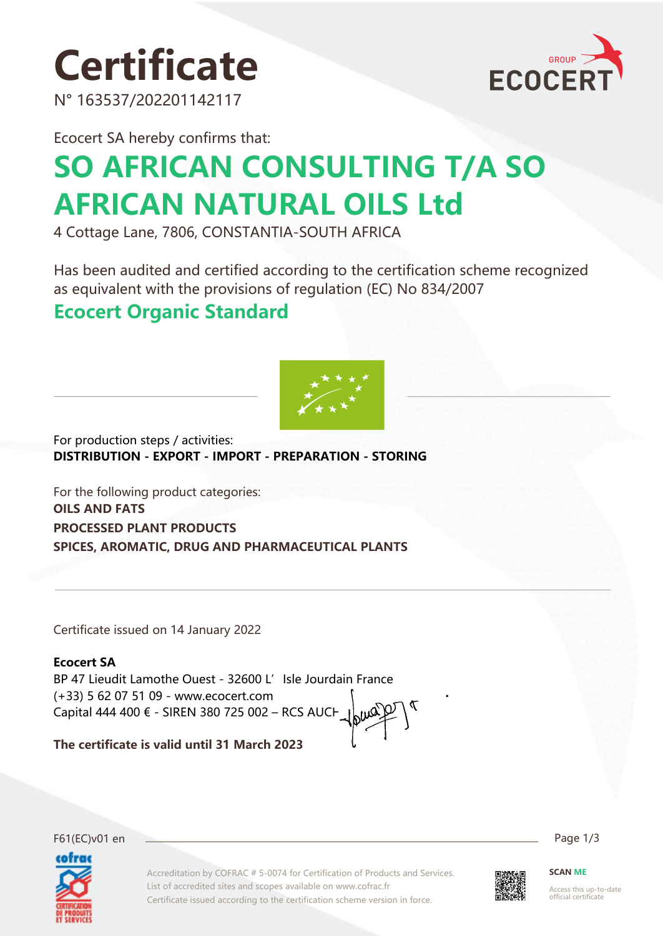

N° 163537/202201142117



Ecocert SA hereby confirms that:

# **SO AFRICAN CONSULTING T/A SO AFRICAN NATURAL OILS Ltd**

4 Cottage Lane, 7806, CONSTANTIA-SOUTH AFRICA

Has been audited and certified according to the certification scheme recognized as equivalent with the provisions of regulation (EC) No 834/2007

### **Ecocert Organic Standard**



For production steps / activities: **DISTRIBUTION - EXPORT - IMPORT - PREPARATION - STORING**

For the following product categories: **OILS AND FATS PROCESSED PLANT PRODUCTS SPICES, AROMATIC, DRUG AND PHARMACEUTICAL PLANTS**

Certificate issued on 14 January 2022

**Ecocert SA** BP 47 Lieudit Lamothe Ouest - 32600 L'Isle Jourdain France (+33) 5 62 07 51 09 - www.ecocert.com Capital 444 400 € - SIREN 380 725 002 – RCS AUCH

**The certificate is valid until 31 March 2023**



Accreditation by COFRAC # 5-0074 for Certification of Products and Services. List of accredited sites and scopes available on www.cofrac.fr Certificate issued according to the certification scheme version in force.



Access this up-to-date official certificate

**SCAN ME**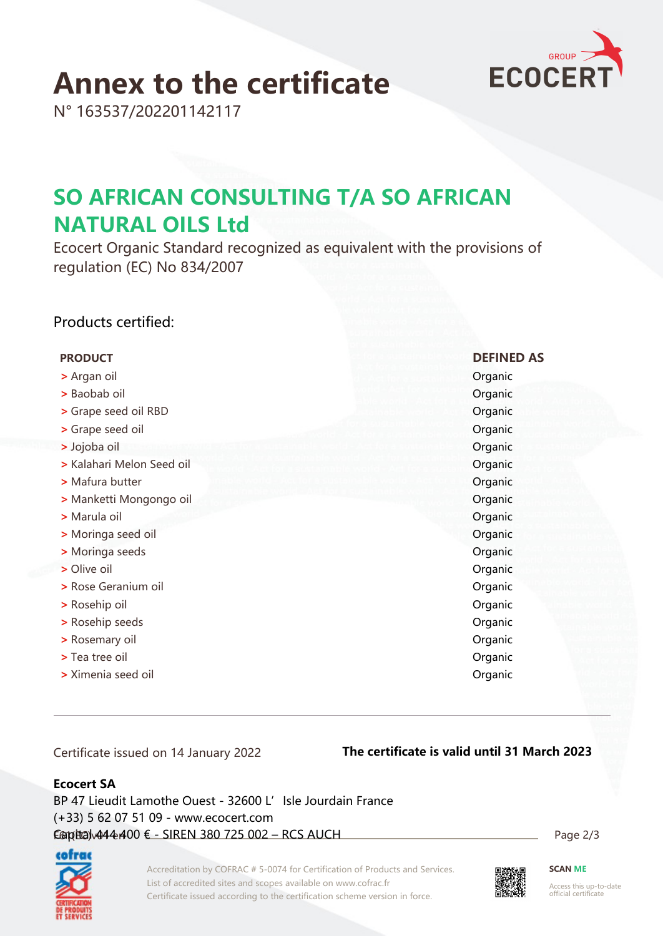

## **Annex to the certificate**

N° 163537/202201142117

## **SO AFRICAN CONSULTING T/A SO AFRICAN NATURAL OILS Ltd**

Ecocert Organic Standard recognized as equivalent with the provisions of regulation (EC) No 834/2007

#### Products certified:

#### **PRODUCT DEFINED AS**

- **>** Argan oil Organic
- **>** Baobab oil Organic
- **>** Grape seed oil RBD **Organic**
- **•** Strape seed oil **Organic**
- **>** Jojoba oil Organic
- **>** Kalahari Melon Seed oil **Organic**
- **>** Mafura butter **Company Company of Company Company of Company Company Companies and Company Companies and Company Companies and Company Companies and Company Company Company Company Company Company Company Company Compa**
- **>** Manketti Mongongo oil **Organic**
- **>** Marula oil Organic
- **•** Moringa seed oil **Organic**
- **•** Moringa seeds **Organic**
- **••** Olive oil **Organic**
- **•** Prose Geranium oil **Discussed Access 2018**
- **••** Prosehip oil **b b** Rosehip oil **b b**  $\alpha$  **c**  $\alpha$  **c**  $\alpha$  **c**  $\alpha$  **c**  $\alpha$  **c**  $\alpha$  **c**  $\alpha$  **c**  $\alpha$  **c**  $\alpha$  **c**  $\alpha$  **c**  $\alpha$  **c**  $\alpha$  **c**  $\alpha$  **c**  $\alpha$  **c**  $\alpha$  **c**  $\alpha$  **c**  $\alpha$  **c**  $\alpha$  **c**  $\alpha$  **c**  $\alpha$
- **•** Prosection Seeds **Containers** Organic
- **>** Rosemary oil Organic
- **•** Tea tree oil **Organic**
- **•** Ximenia seed oil **b** Organic

Certificate issued on 14 January 2022

#### **The certificate is valid until 31 March 2023**

#### **Ecocert SA**

F61(EC)v01 en Page 2/3 Capital 444 400 € - SIREN 380 725 002 – RCS AUCH BP 47 Lieudit Lamothe Ouest - 32600 L'Isle Jourdain France (+33) 5 62 07 51 09 - www.ecocert.com



Accreditation by COFRAC # 5-0074 for Certification of Products and Services. List of accredited sites and scopes available on www.cofrac.fr Certificate issued according to the certification scheme version in force.



**SCAN ME**